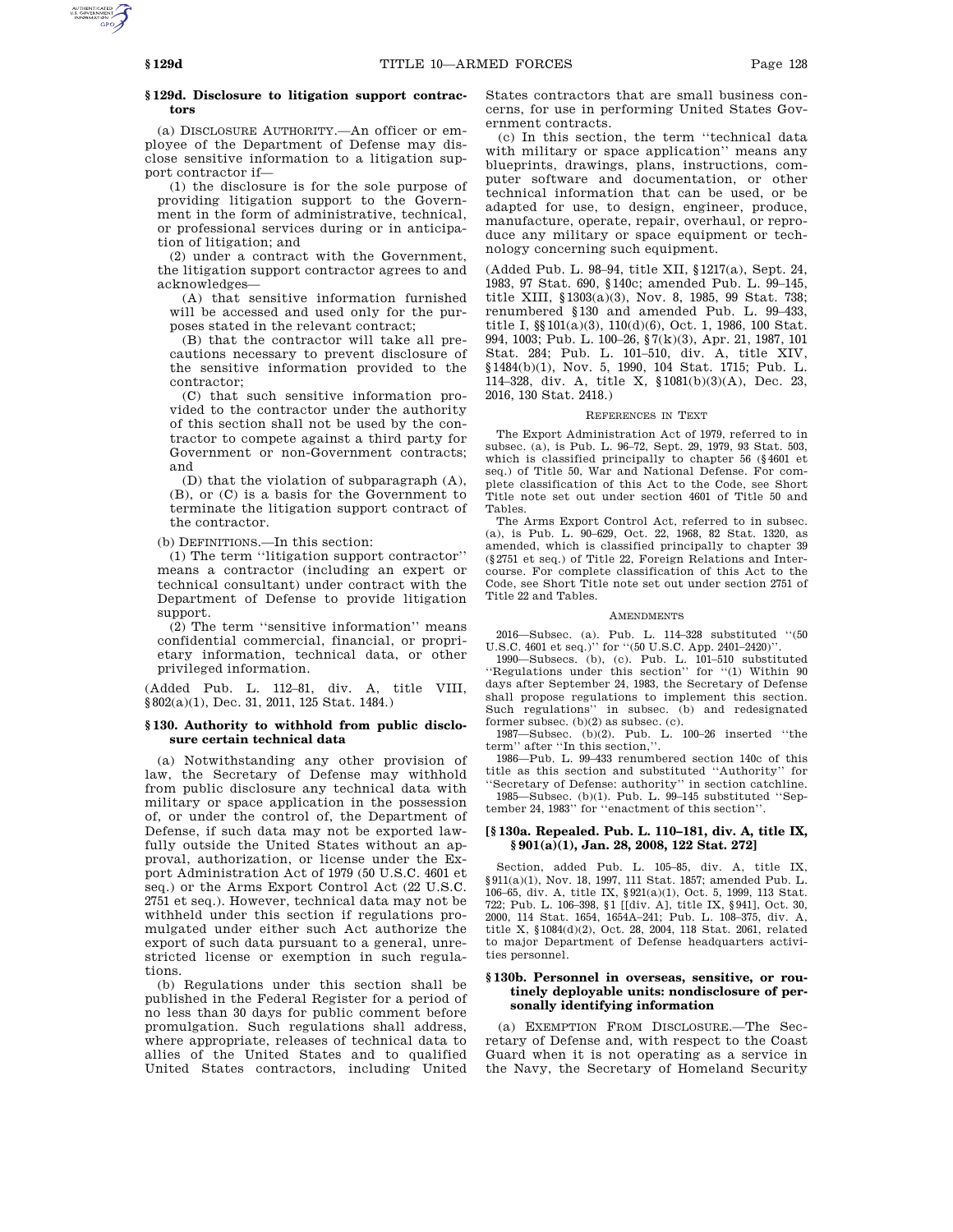# **§ 129d. Disclosure to litigation support contractors**

(a) DISCLOSURE AUTHORITY.—An officer or employee of the Department of Defense may disclose sensitive information to a litigation support contractor if—

(1) the disclosure is for the sole purpose of providing litigation support to the Government in the form of administrative, technical, or professional services during or in anticipation of litigation; and

(2) under a contract with the Government, the litigation support contractor agrees to and acknowledges—

(A) that sensitive information furnished will be accessed and used only for the purposes stated in the relevant contract;

(B) that the contractor will take all precautions necessary to prevent disclosure of the sensitive information provided to the contractor;

(C) that such sensitive information provided to the contractor under the authority of this section shall not be used by the contractor to compete against a third party for Government or non-Government contracts; and

(D) that the violation of subparagraph (A), (B), or (C) is a basis for the Government to terminate the litigation support contract of the contractor.

(b) DEFINITIONS.—In this section:

(1) The term ''litigation support contractor'' means a contractor (including an expert or technical consultant) under contract with the Department of Defense to provide litigation support.

(2) The term ''sensitive information'' means confidential commercial, financial, or proprietary information, technical data, or other privileged information.

(Added Pub. L. 112–81, div. A, title VIII, §802(a)(1), Dec. 31, 2011, 125 Stat. 1484.)

# **§ 130. Authority to withhold from public disclosure certain technical data**

(a) Notwithstanding any other provision of law, the Secretary of Defense may withhold from public disclosure any technical data with military or space application in the possession of, or under the control of, the Department of Defense, if such data may not be exported lawfully outside the United States without an approval, authorization, or license under the Export Administration Act of 1979 (50 U.S.C. 4601 et seq.) or the Arms Export Control Act (22 U.S.C. 2751 et seq.). However, technical data may not be withheld under this section if regulations promulgated under either such Act authorize the export of such data pursuant to a general, unrestricted license or exemption in such regulations.

(b) Regulations under this section shall be published in the Federal Register for a period of no less than 30 days for public comment before promulgation. Such regulations shall address, where appropriate, releases of technical data to allies of the United States and to qualified United States contractors, including United States contractors that are small business concerns, for use in performing United States Government contracts.

(c) In this section, the term ''technical data with military or space application'' means any blueprints, drawings, plans, instructions, computer software and documentation, or other technical information that can be used, or be adapted for use, to design, engineer, produce, manufacture, operate, repair, overhaul, or reproduce any military or space equipment or technology concerning such equipment.

(Added Pub. L. 98–94, title XII, §1217(a), Sept. 24, 1983, 97 Stat. 690, §140c; amended Pub. L. 99–145, title XIII, §1303(a)(3), Nov. 8, 1985, 99 Stat. 738; renumbered §130 and amended Pub. L. 99–433, title I, §§101(a)(3), 110(d)(6), Oct. 1, 1986, 100 Stat. 994, 1003; Pub. L. 100–26, §7(k)(3), Apr. 21, 1987, 101 Stat. 284; Pub. L. 101–510, div. A, title XIV, §1484(b)(1), Nov. 5, 1990, 104 Stat. 1715; Pub. L. 114–328, div. A, title X, §1081(b)(3)(A), Dec. 23, 2016, 130 Stat. 2418.)

#### REFERENCES IN TEXT

The Export Administration Act of 1979, referred to in subsec. (a), is Pub. L. 96–72, Sept. 29, 1979, 93 Stat. 503, which is classified principally to chapter 56 (§4601 et seq.) of Title 50, War and National Defense. For complete classification of this Act to the Code, see Short Title note set out under section 4601 of Title 50 and Tables.

The Arms Export Control Act, referred to in subsec. (a), is Pub. L. 90–629, Oct. 22, 1968, 82 Stat. 1320, as amended, which is classified principally to chapter 39 (§2751 et seq.) of Title 22, Foreign Relations and Intercourse. For complete classification of this Act to the Code, see Short Title note set out under section 2751 of Title 22 and Tables.

#### **AMENDMENTS**

2016—Subsec. (a). Pub. L. 114–328 substituted ''(50 U.S.C. 4601 et seq.)'' for ''(50 U.S.C. App. 2401–2420)''.

1990—Subsecs. (b), (c). Pub. L. 101–510 substituted ''Regulations under this section'' for ''(1) Within 90 days after September 24, 1983, the Secretary of Defense shall propose regulations to implement this section. Such regulations'' in subsec. (b) and redesignated former subsec. (b)(2) as subsec. (c).

1987—Subsec. (b)(2). Pub. L. 100–26 inserted ''the term" after "In this section,

1986—Pub. L. 99–433 renumbered section 140c of this title as this section and substituted ''Authority'' for ''Secretary of Defense: authority'' in section catchline.

1985—Subsec. (b)(1). Pub. L. 99–145 substituted ''September 24, 1983'' for ''enactment of this section''.

## **[§ 130a. Repealed. Pub. L. 110–181, div. A, title IX, § 901(a)(1), Jan. 28, 2008, 122 Stat. 272]**

Section, added Pub. L. 105–85, div. A, title IX, §911(a)(1), Nov. 18, 1997, 111 Stat. 1857; amended Pub. L. 106–65, div. A, title IX, §921(a)(1), Oct. 5, 1999, 113 Stat. 722; Pub. L. 106–398, §1 [[div. A], title IX, §941], Oct. 30, 2000, 114 Stat. 1654, 1654A–241; Pub. L. 108–375, div. A, title X, §1084(d)(2), Oct. 28, 2004, 118 Stat. 2061, related to major Department of Defense headquarters activities personnel.

## **§ 130b. Personnel in overseas, sensitive, or routinely deployable units: nondisclosure of personally identifying information**

(a) EXEMPTION FROM DISCLOSURE.—The Secretary of Defense and, with respect to the Coast Guard when it is not operating as a service in the Navy, the Secretary of Homeland Security